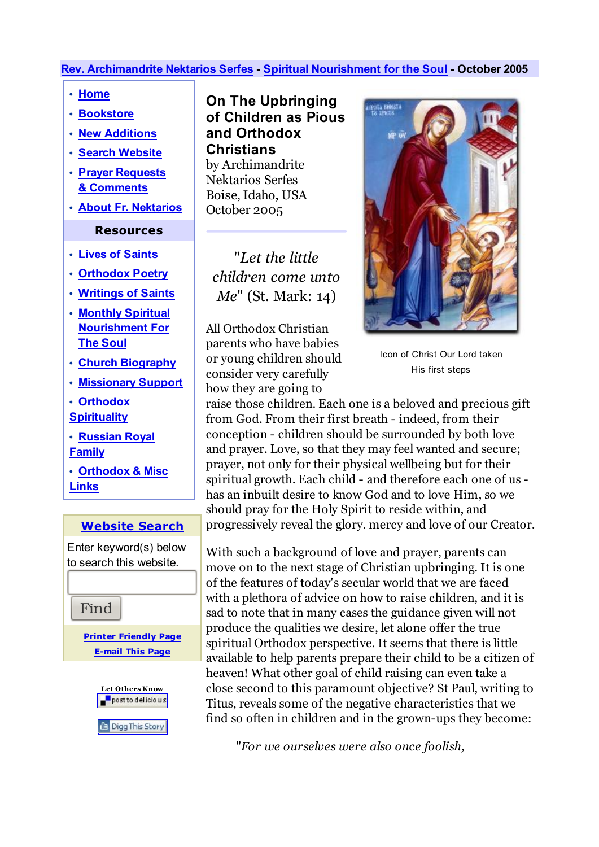## **Rev. Archimandrite Nektarios Serfes - Spiritual Nourishment for the Soul - October 2005**

- **Home**
- **Bookstore**
- **New Additions**
- **Search Website**
- **Prayer Requests & Comments**
- **About Fr. Nektarios**

## **Resources**

- **Lives of Saints**
- **Orthodox Poetry**
- **Writings of Saints**
- **Monthly Spiritual Nourishment For The Soul**
- **Church Biography**
- **Missionary Support**
- **Orthodox**
- **Spirituality • Russian Royal**
- **Family**
- **Orthodox & Misc Links**

## **Website Search**

Enter keyword(s) below to search this website.

Find

**Printer Friendly Page E-mail This Page**



**On The Upbringing of Children as Pious and Orthodox Christians** by Archimandrite Nektarios Serfes Boise, Idaho, USA October 2005

"*Let the little children come unto Me*" (St. Mark: 14)

All Orthodox Christian parents who have babies or young children should consider very carefully how they are going to



Icon of Christ Our Lord taken His first steps

raise those children. Each one is a beloved and precious gift from God. From their first breath - indeed, from their conception - children should be surrounded by both love and prayer. Love, so that they may feel wanted and secure; prayer, not only for their physical wellbeing but for their spiritual growth. Each child - and therefore each one of us has an inbuilt desire to know God and to love Him, so we should pray for the Holy Spirit to reside within, and progressively reveal the glory. mercy and love of our Creator.

With such a background of love and prayer, parents can move on to the next stage of Christian upbringing. It is one of the features of today's secular world that we are faced with a plethora of advice on how to raise children, and it is sad to note that in many cases the guidance given will not produce the qualities we desire, let alone offer the true spiritual Orthodox perspective. It seems that there is little available to help parents prepare their child to be a citizen of heaven! What other goal of child raising can even take a close second to this paramount objective? St Paul, writing to Titus, reveals some of the negative characteristics that we find so often in children and in the grown-ups they become:

"*For we ourselves were also once foolish,*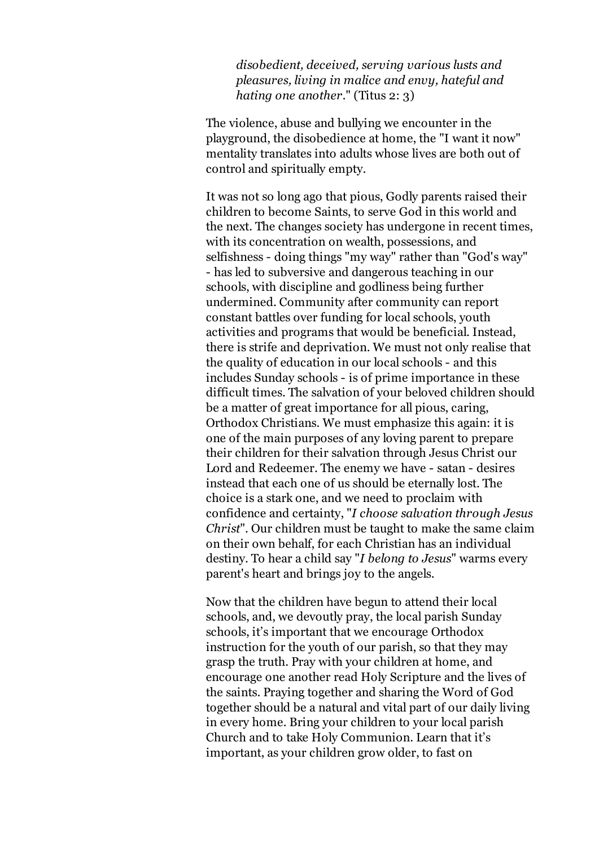*disobedient, deceived, serving various lusts and pleasures, living in malice and envy, hateful and hating one another.*" (Titus 2: 3)

The violence, abuse and bullying we encounter in the playground, the disobedience at home, the "I want it now" mentality translates into adults whose lives are both out of control and spiritually empty.

It was not so long ago that pious, Godly parents raised their children to become Saints, to serve God in this world and the next. The changes society has undergone in recent times, with its concentration on wealth, possessions, and selfishness - doing things "my way" rather than "God's way" - has led to subversive and dangerous teaching in our schools, with discipline and godliness being further undermined. Community after community can report constant battles over funding for local schools, youth activities and programs that would be beneficial. Instead, there is strife and deprivation. We must not only realise that the quality of education in our local schools - and this includes Sunday schools - is of prime importance in these difficult times. The salvation of your beloved children should be a matter of great importance for all pious, caring, Orthodox Christians. We must emphasize this again: it is one of the main purposes of any loving parent to prepare their children for their salvation through Jesus Christ our Lord and Redeemer. The enemy we have - satan - desires instead that each one of us should be eternally lost. The choice is a stark one, and we need to proclaim with confidence and certainty, "*I choose salvation through Jesus Christ*". Our children must be taught to make the same claim on their own behalf, for each Christian has an individual destiny. To hear a child say "*I belong to Jesus*" warms every parent's heart and brings joy to the angels.

Now that the children have begun to attend their local schools, and, we devoutly pray, the local parish Sunday schools, it's important that we encourage Orthodox instruction for the youth of our parish, so that they may grasp the truth. Pray with your children at home, and encourage one another read Holy Scripture and the lives of the saints. Praying together and sharing the Word of God together should be a natural and vital part of our daily living in every home. Bring your children to your local parish Church and to take Holy Communion. Learn that it's important, as your children grow older, to fast on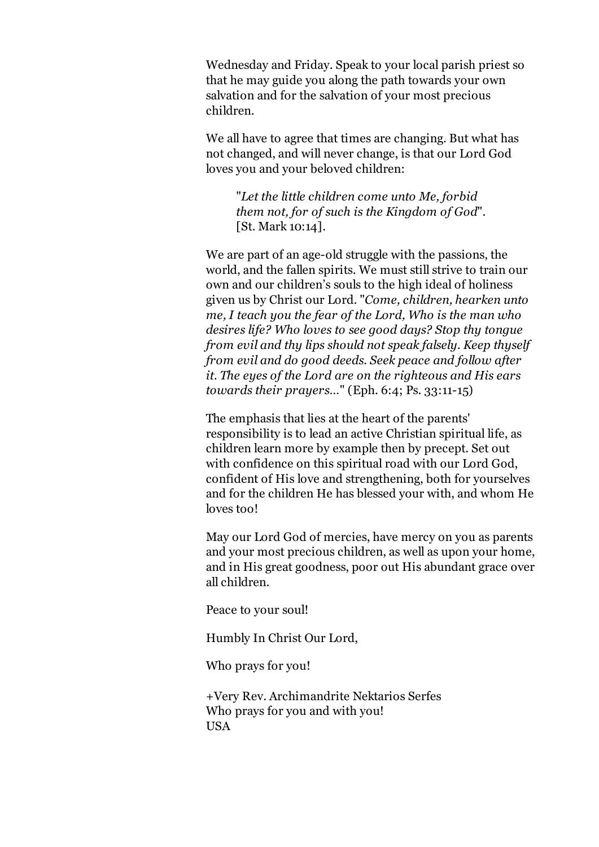Wednesday and Friday. Speak to your local parish priest so that he may guide you along the path towards your own salvation and for the salvation of your most precious children.

We all have to agree that times are changing. But what has not changed, and will never change, is that our Lord God loves you and your beloved children:

"*Let the little children come unto Me, forbid them not, for of such is the Kingdom of God*". [St. Mark 10:14].

We are part of an age-old struggle with the passions, the world, and the fallen spirits. We must still strive to train our own and our children's souls to the high ideal of holiness given us by Christ our Lord. "*Come, children, hearken unto me, I teach you the fear of the Lord, Who is the man who desires life? Who loves to see good days? Stop thy tongue from evil and thy lips should not speak falsely. Keep thyself from evil and do good deeds. Seek peace and follow after it. The eyes of the Lord are on the righteous and His ears towards their prayers…*" (Eph. 6:4; Ps. 33:11-15)

The emphasis that lies at the heart of the parents' responsibility is to lead an active Christian spiritual life, as children learn more by example then by precept. Set out with confidence on this spiritual road with our Lord God, confident of His love and strengthening, both for yourselves and for the children He has blessed your with, and whom He loves too!

May our Lord God of mercies, have mercy on you as parents and your most precious children, as well as upon your home, and in His great goodness, poor out His abundant grace over all children.

Peace to your soul!

Humbly In Christ Our Lord,

Who prays for you!

+Very Rev. Archimandrite Nektarios Serfes Who prays for you and with you! USA